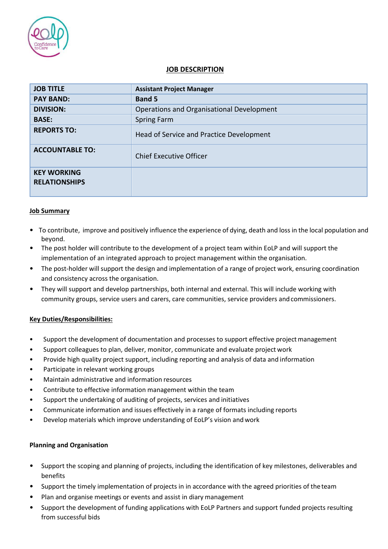

# **JOB DESCRIPTION**

| <b>JOB TITLE</b>                           | <b>Assistant Project Manager</b>          |
|--------------------------------------------|-------------------------------------------|
| <b>PAY BAND:</b>                           | <b>Band 5</b>                             |
| <b>DIVISION:</b>                           | Operations and Organisational Development |
| <b>BASE:</b>                               | <b>Spring Farm</b>                        |
| <b>REPORTS TO:</b>                         | Head of Service and Practice Development  |
| <b>ACCOUNTABLE TO:</b>                     | Chief Executive Officer                   |
| <b>KEY WORKING</b><br><b>RELATIONSHIPS</b> |                                           |

### **Job Summary**

- To contribute, improve and positively influence the experience of dying, death and loss in the local population and beyond.
- The post holder will contribute to the development of a project team within EoLP and will support the implementation of an integrated approach to project management within the organisation.
- The post-holder will support the design and implementation of a range of project work, ensuring coordination and consistency across the organisation.
- They will support and develop partnerships, both internal and external. This will include working with community groups, service users and carers, care communities, service providers andcommissioners.

### **Key Duties/Responsibilities:**

- Support the development of documentation and processes to support effective project management
- Support colleagues to plan, deliver, monitor, communicate and evaluate project work
- Provide high quality project support, including reporting and analysis of data and information
- Participate in relevant working groups
- Maintain administrative and information resources
- Contribute to effective information management within the team
- Support the undertaking of auditing of projects, services and initiatives
- Communicate information and issues effectively in a range of formats including reports
- Develop materials which improve understanding of EoLP's vision and work

### **Planning and Organisation**

- Support the scoping and planning of projects, including the identification of key milestones, deliverables and benefits
- Support the timely implementation of projects in in accordance with the agreed priorities of the team
- Plan and organise meetings or events and assist in diary management
- Support the development of funding applications with EoLP Partners and support funded projects resulting from successful bids